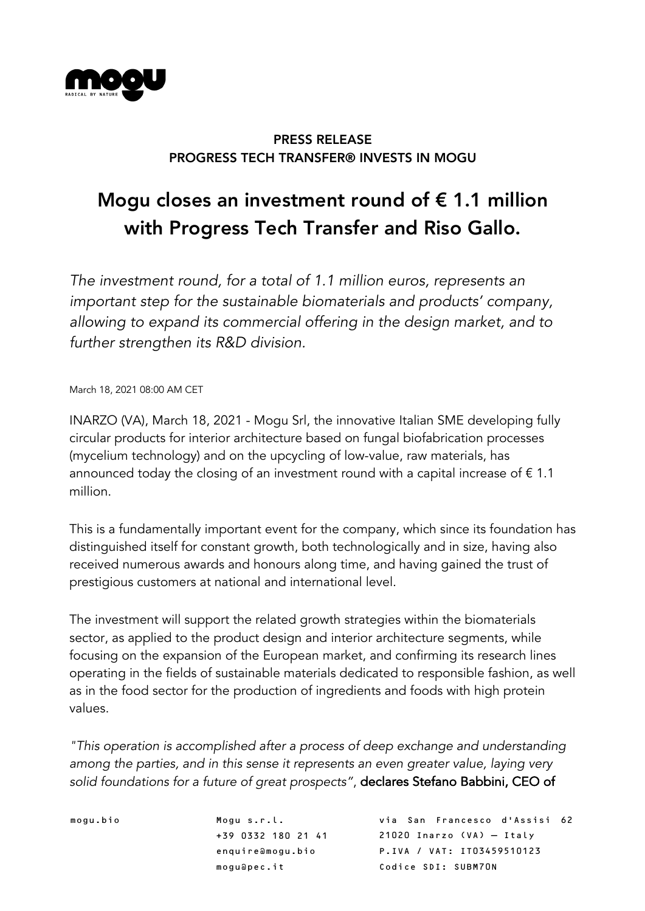

## PRESS RELEASE PROGRESS TECH TRANSFER® INVESTS IN MOGU

# Mogu closes an investment round of  $\epsilon$  1.1 million with Progress Tech Transfer and Riso Gallo.

*The investment round, for a total of 1.1 million euros, represents an important step for the sustainable biomaterials and products' company, allowing to expand its commercial offering in the design market, and to further strengthen its R&D division.*

March 18, 2021 08:00 AM CET

INARZO (VA), March 18, 2021 - Mogu Srl, the innovative Italian SME developing fully circular products for interior architecture based on fungal biofabrication processes (mycelium technology) and on the upcycling of low-value, raw materials, has announced today the closing of an investment round with a capital increase of  $\epsilon$  1.1 million.

This is a fundamentally important event for the company, which since its foundation has distinguished itself for constant growth, both technologically and in size, having also received numerous awards and honours along time, and having gained the trust of prestigious customers at national and international level.

The investment will support the related growth strategies within the biomaterials sector, as applied to the product design and interior architecture segments, while focusing on the expansion of the European market, and confirming its research lines operating in the fields of sustainable materials dedicated to responsible fashion, as well as in the food sector for the production of ingredients and foods with high protein values.

*"This operation is accomplished after a process of deep exchange and understanding among the parties, and in this sense it represents an even greater value, laying very solid foundations for a future of great prospects"*, declares Stefano Babbini, CEO of

mogu.bio Mogu s.r.l. +39 0332 180 21 41 enquire@mogu.bio mogu@pec.it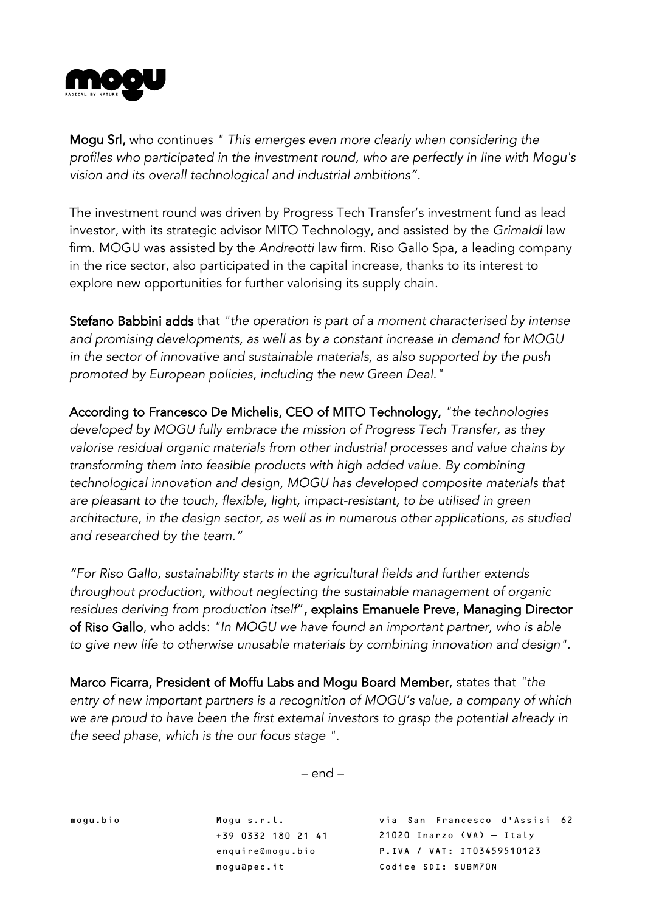

Mogu Srl, who continues *" This emerges even more clearly when considering the profiles who participated in the investment round, who are perfectly in line with Mogu's vision and its overall technological and industrial ambitions".*

The investment round was driven by Progress Tech Transfer's investment fund as lead investor, with its strategic advisor MITO Technology, and assisted by the *Grimaldi* law firm. MOGU was assisted by the *Andreotti* law firm. Riso Gallo Spa, a leading company in the rice sector, also participated in the capital increase, thanks to its interest to explore new opportunities for further valorising its supply chain.

Stefano Babbini adds that *"the operation is part of a moment characterised by intense and promising developments, as well as by a constant increase in demand for MOGU in the sector of innovative and sustainable materials, as also supported by the push promoted by European policies, including the new Green Deal."*

According to Francesco De Michelis, CEO of MITO Technology, *"the technologies developed by MOGU fully embrace the mission of Progress Tech Transfer, as they valorise residual organic materials from other industrial processes and value chains by transforming them into feasible products with high added value. By combining technological innovation and design, MOGU has developed composite materials that are pleasant to the touch, flexible, light, impact-resistant, to be utilised in green architecture, in the design sector, as well as in numerous other applications, as studied and researched by the team."*

*"For Riso Gallo, sustainability starts in the agricultural fields and further extends throughout production, without neglecting the sustainable management of organic residues deriving from production itself*", explains Emanuele Preve, Managing Director of Riso Gallo, who adds: *"In MOGU we have found an important partner, who is able to give new life to otherwise unusable materials by combining innovation and design".*

Marco Ficarra, President of Moffu Labs and Mogu Board Member, states that *"the entry of new important partners is a recognition of MOGU's value, a company of which we are proud to have been the first external investors to grasp the potential already in the seed phase, which is the our focus stage ".*

 $-$  end  $-$ 

mogu.bio Mogu s.r.l.

+39 0332 180 21 41 enquire@mogu.bio mogu@pec.it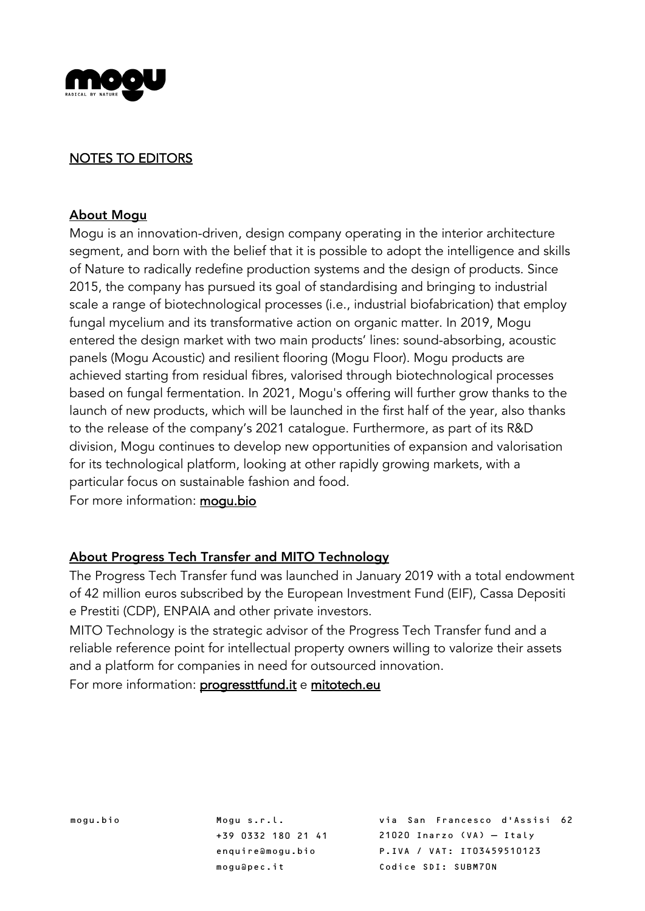

### NOTES TO EDITORS

#### About Mogu

Mogu is an innovation-driven, design company operating in the interior architecture segment, and born with the belief that it is possible to adopt the intelligence and skills of Nature to radically redefine production systems and the design of products. Since 2015, the company has pursued its goal of standardising and bringing to industrial scale a range of biotechnological processes (i.e., industrial biofabrication) that employ fungal mycelium and its transformative action on organic matter. In 2019, Mogu entered the design market with two main products' lines: sound-absorbing, acoustic panels (Mogu Acoustic) and resilient flooring (Mogu Floor). Mogu products are achieved starting from residual fibres, valorised through biotechnological processes based on fungal fermentation. In 2021, Mogu's offering will further grow thanks to the launch of new products, which will be launched in the first half of the year, also thanks to the release of the company's 2021 catalogue. Furthermore, as part of its R&D division, Mogu continues to develop new opportunities of expansion and valorisation for its technological platform, looking at other rapidly growing markets, with a particular focus on sustainable fashion and food.

For more information: mogu.bio

### About Progress Tech Transfer and MITO Technology

The Progress Tech Transfer fund was launched in January 2019 with a total endowment of 42 million euros subscribed by the European Investment Fund (EIF), Cassa Depositi e Prestiti (CDP), ENPAIA and other private investors.

MITO Technology is the strategic advisor of the Progress Tech Transfer fund and a reliable reference point for intellectual property owners willing to valorize their assets and a platform for companies in need for outsourced innovation.

For more information: progressttfund.it e mitotech.eu

mogu.bio Mogu s.r.l. +39 0332 180 21 41 enquire@mogu.bio mogu@pec.it